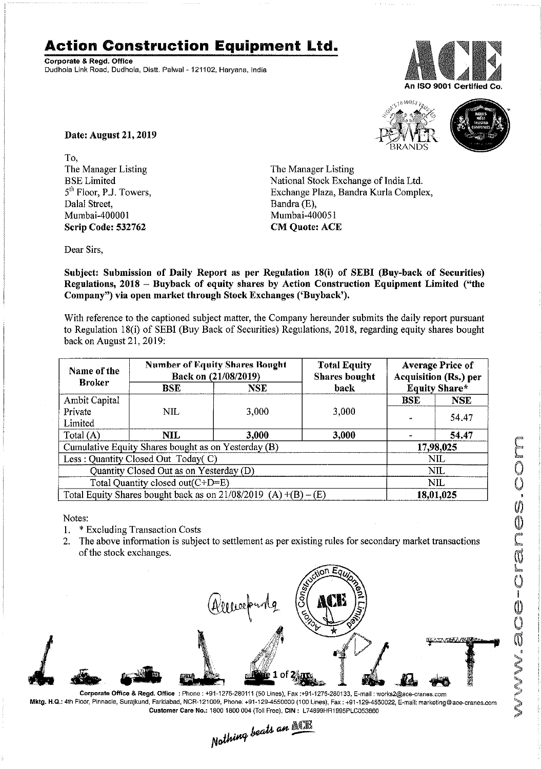## ~I~ **Action Construction Equipment Ltd.**

Corporate & Regd. Office Dudhola Link Road, Dudhola, Distt. Palwal - 121102, Haryana, India







Date: August 21, 2019

To, The Manager Listing BSE Limited 5<sup>th</sup> Floor, P.J. Towers, Dalal Street, Mumbai-400001 Scrip Code: 532762

The Manager Listing National Stock Exchange of India Ltd. Exchange Plaza, Bandra Kurla Complex, Bandra (E), Mumbai-400051 CM Quote: ACE

Dear Sirs,

Subject: Submission of Daily Report as per Regulation 18(i) of SEBI (Buy-back of Securities) Regulations, 2018 - Buyback of equity shares by Action Construction Equipment Limited ("the Company") via open market through Stock Exchanges ('Buyback').

With reference to the captioned subject matter, the Company hereunder submits the daily report pursuant to Regulation 18(i) of SEBI (Buy Back of Securities) Regulations, 2018, regarding equity shares bought back on August 21, 2019:

| Name of the<br><b>Broker</b>                                      | <b>Number of Equity Shares Bought</b><br>Back on (21/08/2019) |       | <b>Total Equity</b><br><b>Shares bought</b> | <b>Average Price of</b><br><b>Acquisition (Rs.) per</b> |            |  |
|-------------------------------------------------------------------|---------------------------------------------------------------|-------|---------------------------------------------|---------------------------------------------------------|------------|--|
|                                                                   | <b>BSE</b>                                                    | NSE   | back                                        | <b>Equity Share*</b>                                    |            |  |
| Ambit Capital                                                     |                                                               |       |                                             | <b>BSE</b>                                              | <b>NSE</b> |  |
| Private                                                           | NIL                                                           | 3,000 | 3,000                                       |                                                         | 54.47      |  |
| Limited                                                           |                                                               |       |                                             |                                                         |            |  |
| Total (A)                                                         | NIL                                                           | 3,000 | 3,000                                       |                                                         | 54.47      |  |
| Cumulative Equity Shares bought as on Yesterday (B)               |                                                               |       |                                             |                                                         | 17,98,025  |  |
| Less: Quantity Closed Out Today(C)                                |                                                               |       |                                             | NIL                                                     |            |  |
| Quantity Closed Out as on Yesterday (D)                           |                                                               |       |                                             | NIL.                                                    |            |  |
| Total Quantity closed out(C+D=E)                                  |                                                               |       |                                             |                                                         | NIL.       |  |
| Total Equity Shares bought back as on $21/08/2019$ (A) +(B) – (E) |                                                               |       |                                             | 18,01,025                                               |            |  |

Notes:

- 1. \* Excluding Transaction Costs
- 2. The above information is subject to settlement as per existing rules for secondary market transactions of the stock exchanges.



Corporate Office & Regd. Office: Phone: +91-1275-280111(50 Lines). Fax:+91·1275·280133, E-mail: works2@ace-cranes.com Mktg. H.Q.: 4th Floor, Pinnacle, Surajkund, Faridabad, NCR-121009, Phone: +91-129·4550000 (100 Lines), Fax: +91-129·4550022, E-malJ:markeling@ace·cranes.com

Customer Care No.: 1800 1800 004 (Toll Free), CIN: L74899HR1995PLC053B60<br>Nathing beats an  $\mathbb{M}$